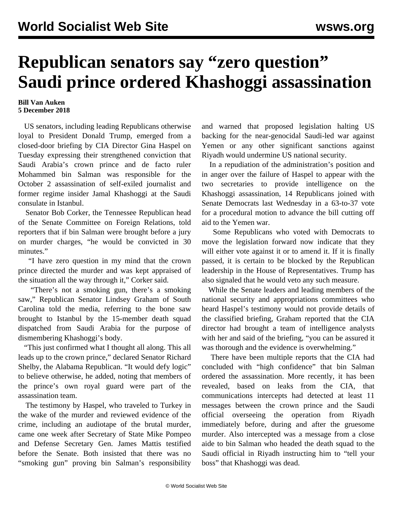## **Republican senators say "zero question" Saudi prince ordered Khashoggi assassination**

## **Bill Van Auken 5 December 2018**

 US senators, including leading Republicans otherwise loyal to President Donald Trump, emerged from a closed-door briefing by CIA Director Gina Haspel on Tuesday expressing their strengthened conviction that Saudi Arabia's crown prince and de facto ruler Mohammed bin Salman was responsible for the October 2 assassination of self-exiled journalist and former regime insider Jamal Khashoggi at the Saudi consulate in Istanbul.

 Senator Bob Corker, the Tennessee Republican head of the Senate Committee on Foreign Relations, told reporters that if bin Salman were brought before a jury on murder charges, "he would be convicted in 30 minutes."

 "I have zero question in my mind that the crown prince directed the murder and was kept appraised of the situation all the way through it," Corker said.

 "There's not a smoking gun, there's a smoking saw," Republican Senator Lindsey Graham of South Carolina told the media, referring to the bone saw brought to Istanbul by the 15-member death squad dispatched from Saudi Arabia for the purpose of dismembering Khashoggi's body.

 "This just confirmed what I thought all along. This all leads up to the crown prince," declared Senator Richard Shelby, the Alabama Republican. "It would defy logic" to believe otherwise, he added, noting that members of the prince's own royal guard were part of the assassination team.

 The testimony by Haspel, who traveled to Turkey in the wake of the murder and reviewed evidence of the crime, including an audiotape of the brutal murder, came one week after Secretary of State Mike Pompeo and Defense Secretary Gen. James Mattis testified before the Senate. Both insisted that there was no "smoking gun" proving bin Salman's responsibility

and warned that proposed legislation halting US backing for the near-genocidal Saudi-led war against Yemen or any other significant sanctions against Riyadh would undermine US national security.

 In a repudiation of the administration's position and in anger over the failure of Haspel to appear with the two secretaries to provide intelligence on the Khashoggi assassination, 14 Republicans joined with Senate Democrats last Wednesday in a 63-to-37 vote for a procedural motion to advance the bill cutting off aid to the Yemen war.

 Some Republicans who voted with Democrats to move the legislation forward now indicate that they will either vote against it or to amend it. If it is finally passed, it is certain to be blocked by the Republican leadership in the House of Representatives. Trump has also signaled that he would veto any such measure.

 While the Senate leaders and leading members of the national security and appropriations committees who heard Haspel's testimony would not provide details of the classified briefing, Graham reported that the CIA director had brought a team of intelligence analysts with her and said of the briefing, "you can be assured it was thorough and the evidence is overwhelming."

 There have been multiple reports that the CIA had concluded with "high confidence" that bin Salman ordered the assassination. More recently, it has been revealed, based on leaks from the CIA, that communications intercepts had detected at least 11 messages between the crown prince and the Saudi official overseeing the operation from Riyadh immediately before, during and after the gruesome murder. Also intercepted was a message from a close aide to bin Salman who headed the death squad to the Saudi official in Riyadh instructing him to "tell your boss" that Khashoggi was dead.